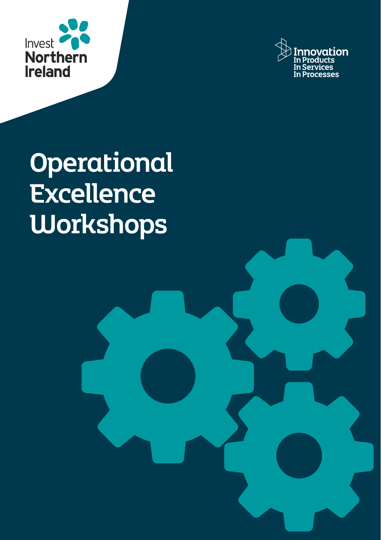



Operational **Excellence Workshops**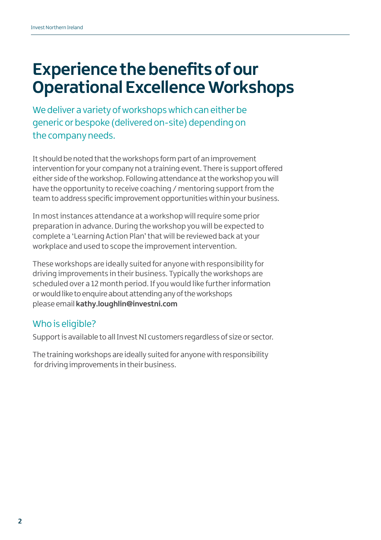## **Experience the benefits of our Operational Excellence Workshops**

We deliver a variety of workshops which can either be generic or bespoke (delivered on-site) depending on the company needs.

It should be noted that the workshops form part of an improvement intervention for your company not a training event. There is support offered either side of the workshop. Following attendance at the workshop you will have the opportunity to receive coaching / mentoring support from the team to address specific improvement opportunities within your business.

In most instances attendance at a workshop will require some prior preparation in advance. During the workshop you will be expected to complete a 'Learning Action Plan' that will be reviewed back at your workplace and used to scope the improvement intervention.

These workshops are ideally suited for anyone with responsibility for driving improvements in their business. Typically the workshops are scheduled over a 12 month period. If you would like further information or would like to enquire about attending any of the workshops please email **kathy.loughlin@investni.com**

## Who is eligible?

Support is available to all Invest NI customers regardless of size or sector.

The training workshops are ideally suited for anyone with responsibility for driving improvements in their business.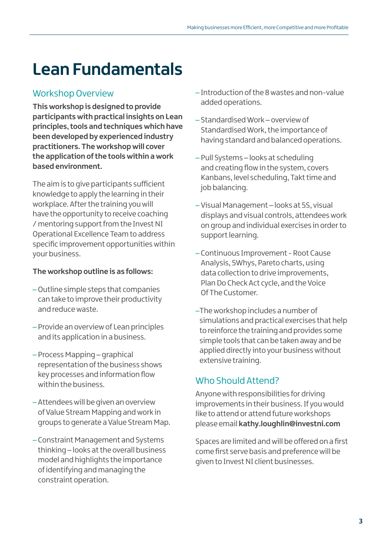## **Lean Fundamentals**

## Workshop Overview

**This workshop is designed to provide participants with practical insights on Lean principles, tools and techniques which have been developed by experienced industry practitioners. The workshop will cover the application of the tools within a work based environment.**

The aim is to give participants sufficient knowledge to apply the learning in their workplace. After the training you will have the opportunity to receive coaching / mentoring support from the Invest NI Operational Excellence Team to address specific improvement opportunities within your business.

#### **The workshop outline is as follows:**

- –Outline simple steps that companies can take to improve their productivity and reduce waste.
- Provide an overview of Lean principles and its application in a business.
- Process Mapping graphical representation of the business shows key processes and information flow within the business.
- Attendees will be given an overview of Value Stream Mapping and work in groups to generate a Value Stream Map.
- Constraint Management and Systems thinking – looks at the overall business model and highlights the importance of identifying and managing the constraint operation.
- Introduction of the 8 wastes and non-value added operations.
- Standardised Work overview of Standardised Work, the importance of having standard and balanced operations.
- Pull Systems looks at scheduling and creating flow in the system, covers Kanbans, level scheduling, Takt time and job balancing.
- Visual Management looks at 5S, visual displays and visual controls, attendees work on group and individual exercises in order to support learning.
- Continuous Improvement Root Cause Analysis, 5Whys, Pareto charts, using data collection to drive improvements, Plan Do Check Act cycle, and the Voice Of The Customer.
- –The workshop includes a number of simulations and practical exercises that help to reinforce the training and provides some simple tools that can be taken away and be applied directly into your business without extensive training.

## Who Should Attend?

Anyone with responsibilities for driving improvements in their business. If you would like to attend or attend future workshops please email **kathy.loughlin@investni.com**

Spaces are limited and will be offered on a first come first serve basis and preference will be given to Invest NI client businesses.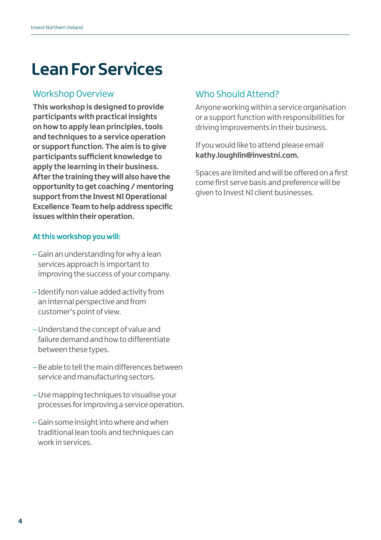## **Lean For Services**

#### Workshop Overview

**This workshop is designed to provide participants with practical insights on how to apply lean principles, tools and techniques to a service operation or support function. The aim is to give participants sufficient knowledge to apply the learning in their business. After the training they will also have the opportunity to get coaching / mentoring support from the Invest NI Operational Excellence Team to help address specific issues within their operation.** 

#### **At this workshop you will:**

- Gain an understanding for why a lean services approach is important to improving the success of your company.
- Identify non value added activity from an internal perspective and from customer's point of view.
- –Understand the concept of value and failure demand and how to differentiate between these types.
- Be able to tell the main differences between service and manufacturing sectors.
- –Use mapping techniques to visualise your processes for improving a service operation.
- Gain some insight into where and when traditional lean tools and techniques can work in services.

### Who Should Attend?

Anyone working within a service organisation or a support function with responsibilities for driving improvements in their business.

If you would like to attend please email **kathy.loughlin@investni.com.**

Spaces are limited and will be offered on a first come first serve basis and preference will be given to Invest NI client businesses.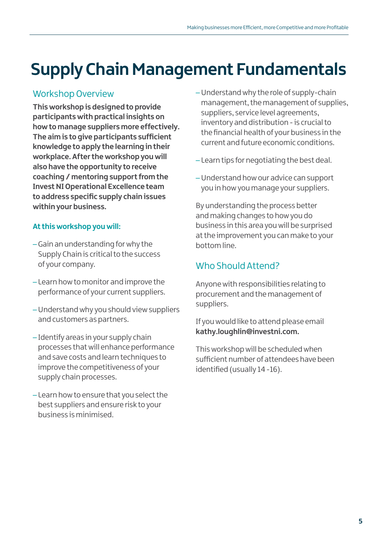# **Supply Chain Management Fundamentals**

## Workshop Overview

**This workshop is designed to provide participants with practical insights on how to manage suppliers more effectively. The aim is to give participants sufficient knowledge to apply the learning in their workplace. After the workshop you will also have the opportunity to receive coaching / mentoring support from the Invest NI Operational Excellence team to address specific supply chain issues within your business.** 

#### **At this workshop you will:**

- Gain an understanding for why the Supply Chain is critical to the success of your company.
- Learn how to monitor and improve the performance of your current suppliers.
- –Understand why you should view suppliers and customers as partners.
- Identify areas in your supply chain processes that will enhance performance and save costs and learn techniques to improve the competitiveness of your supply chain processes.
- Learn how to ensure that you select the best suppliers and ensure risk to your business is minimised.
- Understand why the role of supply-chain management, the management of supplies, suppliers, service level agreements, inventory and distribution - is crucial to the financial health of your business in the current and future economic conditions.
- Learn tips for negotiating the best deal.
- –Understand how our advice can support you in how you manage your suppliers.

By understanding the process better and making changes to how you do business in this area you will be surprised at the improvement you can make to your bottom line.

## Who Should Attend?

Anyone with responsibilities relating to procurement and the management of suppliers.

If you would like to attend please email **kathy.loughlin@investni.com.**

This workshop will be scheduled when sufficient number of attendees have been identified (usually 14 -16).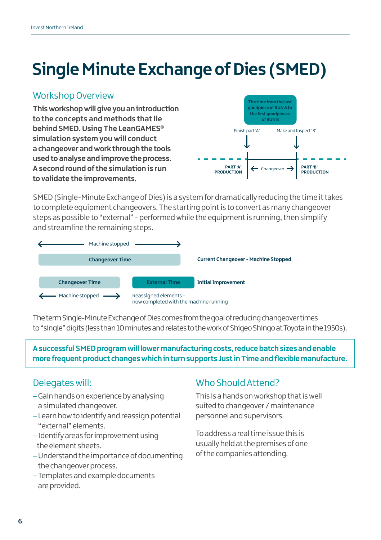# **Single Minute Exchange of Dies (SMED)**

### Workshop Overview

**This workshop will give you an introduction to the concepts and methods that lie behind SMED. Using The LeanGAMES© simulation system you will conduct a changeover and work through the tools used to analyse and improve the process. A second round of the simulation is run to validate the improvements.**



SMED (Single-Minute Exchange of Dies) is a system for dramatically reducing the time it takes to complete equipment changeovers. The starting point is to convert as many changeover steps as possible to "external" - performed while the equipment is running, then simplify and streamline the remaining steps.



The term Single-Minute Exchange of Dies comes from the goal of reducing changeover times to "single" digits (less than 10 minutes and relates to the work of Shigeo Shingo at Toyota in the 1950s).

**A successful SMED program will lower manufacturing costs, reduce batch sizes and enable more frequent product changes which in turn supports Just in Time and flexible manufacture.**

### Delegates will:

- Gain hands on experience by analysing a simulated changeover.
- Learn how to identify and reassign potential "external" elements.
- Identify areas for improvement using the element sheets.
- –Understand the importance of documenting the changeover process.
- Templates and example documents are provided.

### Who Should Attend?

This is a hands on workshop that is well suited to changeover / maintenance personnel and supervisors.

To address a real time issue this is usually held at the premises of one of the companies attending.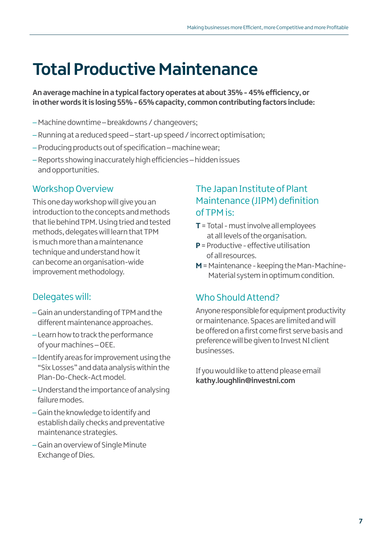## **Total Productive Maintenance**

**An average machine in a typical factory operates at about 35% - 45% efficiency, or in other words it is losing 55% - 65% capacity, common contributing factors include:**

- –Machine downtime breakdowns / changeovers;
- Running at a reduced speed start-up speed / incorrect optimisation;
- Producing products out of specification machine wear;
- Reports showing inaccurately high efficiencies hidden issues and opportunities.

#### Workshop Overview

This one day workshop will give you an introduction to the concepts and methods that lie behind TPM. Using tried and tested methods, delegates will learn that TPM is much more than a maintenance technique and understand how it can become an organisation-wide improvement methodology.

#### Delegates will:

- –Gain an understanding of TPM and the different maintenance approaches.
- Learn how to track the performance of your machines – OEE.
- Identify areas for improvement using the "Six Losses" and data analysis within the Plan-Do-Check-Act model.
- –Understand the importance of analysing failure modes.
- –Gain the knowledge to identify and establish daily checks and preventative maintenance strategies.
- –Gain an overview of Single Minute Exchange of Dies.

### The Japan Institute of Plant Maintenance (JIPM) definition of TPM is:

- **T**= Total must involve all employees at all levels of the organisation.
- **P** = Productive effective utilisation of all resources.
- **M** = Maintenance keeping the Man-Machine-Material system in optimum condition.

#### Who Should Attend?

Anyone responsible for equipment productivity or maintenance. Spaces are limited and will be offered on a first come first serve basis and preference will be given to Invest NI client businesses.

If you would like to attend please email **kathy.loughlin@investni.com**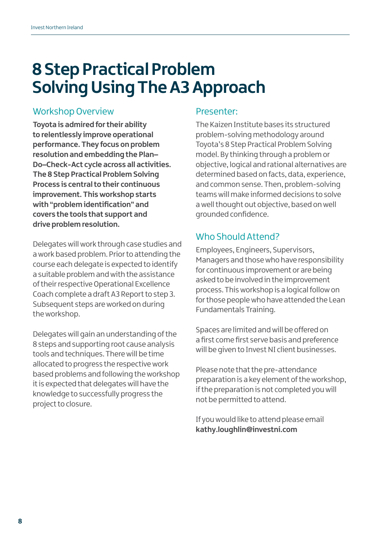## **8 Step Practical Problem Solving Using The A3 Approach**

#### Workshop Overview

**Toyota is admired for their ability to relentlessly improve operational performance. They focus on problem resolution and embedding the Plan– Do–Check-Act cycle across all activities. The 8 Step Practical Problem Solving Process is central to their continuous improvement. This workshop starts with "problem identification" and covers the tools that support and drive problem resolution.** 

Delegates will work through case studies and a work based problem. Prior to attending the course each delegate is expected to identify a suitable problem and with the assistance of their respective Operational Excellence Coach complete a draft A3 Report to step 3. Subsequent steps are worked on during the workshop.

Delegates will gain an understanding of the 8 steps and supporting root cause analysis tools and techniques. There will be time allocated to progress the respective work based problems and following the workshop it is expected that delegates will have the knowledge to successfully progress the project to closure.

#### Presenter:

The Kaizen Institute bases its structured problem-solving methodology around Toyota's 8 Step Practical Problem Solving model. By thinking through a problem or objective, logical and rational alternatives are determined based on facts, data, experience, and common sense. Then, problem-solving teams will make informed decisions to solve a well thought out objective, based on well grounded confidence.

### Who Should Attend?

Employees, Engineers, Supervisors, Managers and those who have responsibility for continuous improvement or are being asked to be involved in the improvement process. This workshop is a logical follow on for those people who have attended the Lean Fundamentals Training.

Spaces are limited and will be offered on a first come first serve basis and preference will be given to Invest NI client businesses.

Please note that the pre-attendance preparation is a key element of the workshop, if the preparation is not completed you will not be permitted to attend.

If you would like to attend please email **kathy.loughlin@investni.com**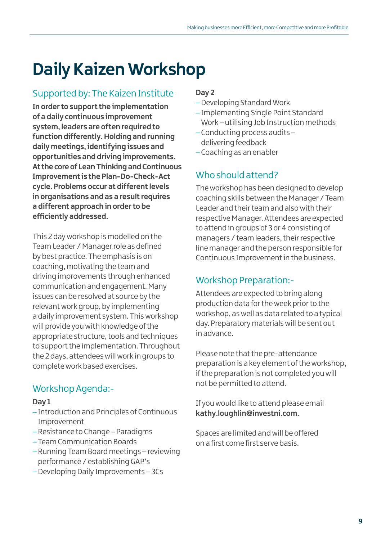## **Daily Kaizen Workshop**

## Supported by: The Kaizen Institute

**In order to support the implementation of a daily continuous improvement system, leaders are often required to function differently. Holding and running daily meetings, identifying issues and opportunities and driving improvements. At the core of Lean Thinking and Continuous Improvement is the Plan-Do-Check-Act cycle. Problems occur at different levels in organisations and as a result requires a different approach in order to be efficiently addressed.** 

This 2 day workshop is modelled on the Team Leader / Manager role as defined by best practice. The emphasis is on coaching, motivating the team and driving improvements through enhanced communication and engagement. Many issues can be resolved at source by the relevant work group, by implementing a daily improvement system. This workshop will provide you with knowledge of the appropriate structure, tools and techniques to support the implementation. Throughout the 2 days, attendees will work in groups to complete work based exercises.

## Workshop Agenda:-

#### **Day 1**

- Introduction and Principles of Continuous Improvement
- Resistance to Change Paradigms
- Team Communication Boards
- Running Team Board meetings reviewing performance / establishing GAP's
- –Developing Daily Improvements 3Cs

#### **Day 2**

- –Developing Standard Work
- Implementing Single Point Standard Work – utilising Job Instruction methods
- Conducting process audits delivering feedback
- Coaching as an enabler

## Who should attend?

The workshop has been designed to develop coaching skills between the Manager / Team Leader and their team and also with their respective Manager. Attendees are expected to attend in groups of 3 or 4 consisting of managers / team leaders, their respective line manager and the person responsible for Continuous Improvement in the business.

### Workshop Preparation:-

Attendees are expected to bring along production data for the week prior to the workshop, as well as data related to a typical day. Preparatory materials will be sent out in advance.

Please note that the pre-attendance preparation is a key element of the workshop, if the preparation is not completed you will not be permitted to attend.

If you would like to attend please email **kathy.loughlin@investni.com.** 

Spaces are limited and will be offered on a first come first serve basis.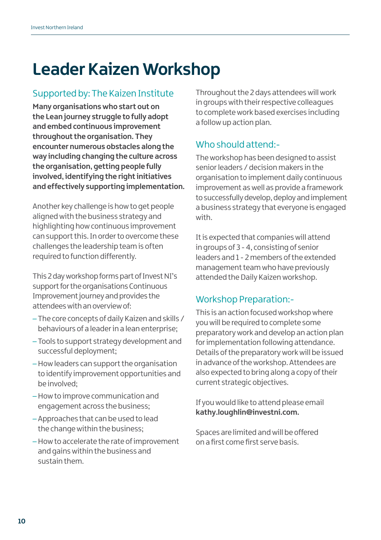## **Leader Kaizen Workshop**

## Supported by: The Kaizen Institute

**Many organisations who start out on the Lean journey struggle to fully adopt and embed continuous improvement throughout the organisation. They encounter numerous obstacles along the way including changing the culture across the organisation, getting people fully involved, identifying the right initiatives and effectively supporting implementation.**

Another key challenge is how to get people aligned with the business strategy and highlighting how continuous improvement can support this. In order to overcome these challenges the leadership team is often required to function differently.

This 2 day workshop forms part of Invest NI's support for the organisations Continuous Improvement journey and provides the attendees with an overview of:

- The core concepts of daily Kaizen and skills / behaviours of a leader in a lean enterprise;
- Tools to support strategy development and successful deployment;
- –How leaders can support the organisation to identify improvement opportunities and be involved;
- –How to improve communication and engagement across the business;
- Approaches that can be used to lead the change within the business;
- –How to accelerate the rate of improvement and gains within the business and sustain them.

Throughout the 2 days attendees will work in groups with their respective colleagues to complete work based exercises including a follow up action plan.

## Who should attend:-

The workshop has been designed to assist senior leaders / decision makers in the organisation to implement daily continuous improvement as well as provide a framework to successfully develop, deploy and implement a business strategy that everyone is engaged with.

It is expected that companies will attend in groups of 3 - 4, consisting of senior leaders and 1 - 2 members of the extended management team who have previously attended the Daily Kaizen workshop.

## Workshop Preparation:-

This is an action focused workshop where you will be required to complete some preparatory work and develop an action plan for implementation following attendance. Details of the preparatory work will be issued in advance of the workshop. Attendees are also expected to bring along a copy of their current strategic objectives.

If you would like to attend please email **kathy.loughlin@investni.com.** 

Spaces are limited and will be offered on a first come first serve basis.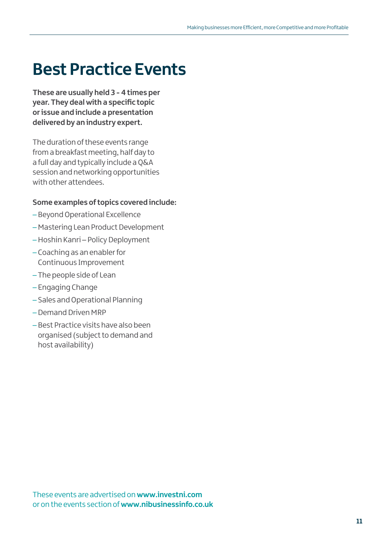## **Best Practice Events**

**These are usually held 3 - 4 times per year. They deal with a specific topic or issue and include a presentation delivered by an industry expert.**

The duration of these events range from a breakfast meeting, half day to a full day and typically include a Q&A session and networking opportunities with other attendees.

#### **Some examples of topics covered include:**

- Beyond Operational Excellence
- –Mastering Lean Product Development
- –Hoshin Kanri Policy Deployment
- Coaching as an enabler for Continuous Improvement
- The people side of Lean
- Engaging Change
- Sales and Operational Planning
- –Demand Driven MRP
- Best Practice visits have also been organised (subject to demand and host availability)

These events are advertised on **www.investni.com**  or on the events section of **www.nibusinessinfo.co.uk**